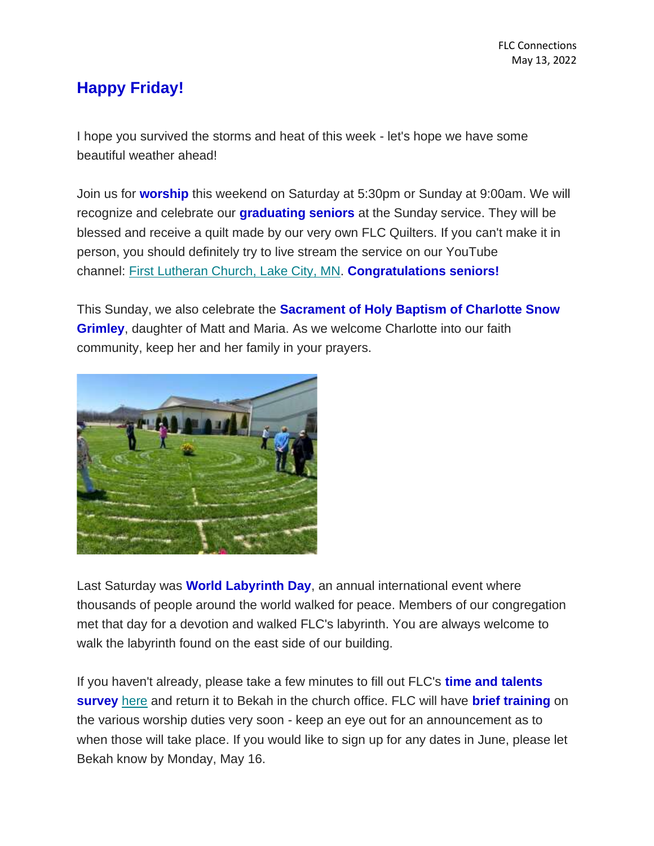## **Happy Friday!**

I hope you survived the storms and heat of this week - let's hope we have some beautiful weather ahead!

Join us for **worship** this weekend on Saturday at 5:30pm or Sunday at 9:00am. We will recognize and celebrate our **graduating seniors** at the Sunday service. They will be blessed and receive a quilt made by our very own FLC Quilters. If you can't make it in person, you should definitely try to live stream the service on our YouTube channel: [First Lutheran Church, Lake City, MN.](https://www.youtube.com/channel/UC9XdNg_hQSX1DHMunNI8WQw) **Congratulations seniors!**

This Sunday, we also celebrate the **Sacrament of Holy Baptism of Charlotte Snow Grimley**, daughter of Matt and Maria. As we welcome Charlotte into our faith community, keep her and her family in your prayers.



Last Saturday was **World Labyrinth Day**, an annual international event where thousands of people around the world walked for peace. Members of our congregation met that day for a devotion and walked FLC's labyrinth. You are always welcome to walk the labyrinth found on the east side of our building.

If you haven't already, please take a few minutes to fill out FLC's **time and talents survey** [here](https://mcusercontent.com/77c7c6d2c1cfcdf43b66ccb3d/files/aee83634-22d0-10d7-b9e5-037932c61b8a/Time_and_Talents_2022_PDF.pdf) and return it to Bekah in the church office. FLC will have **brief training** on the various worship duties very soon - keep an eye out for an announcement as to when those will take place. If you would like to sign up for any dates in June, please let Bekah know by Monday, May 16.